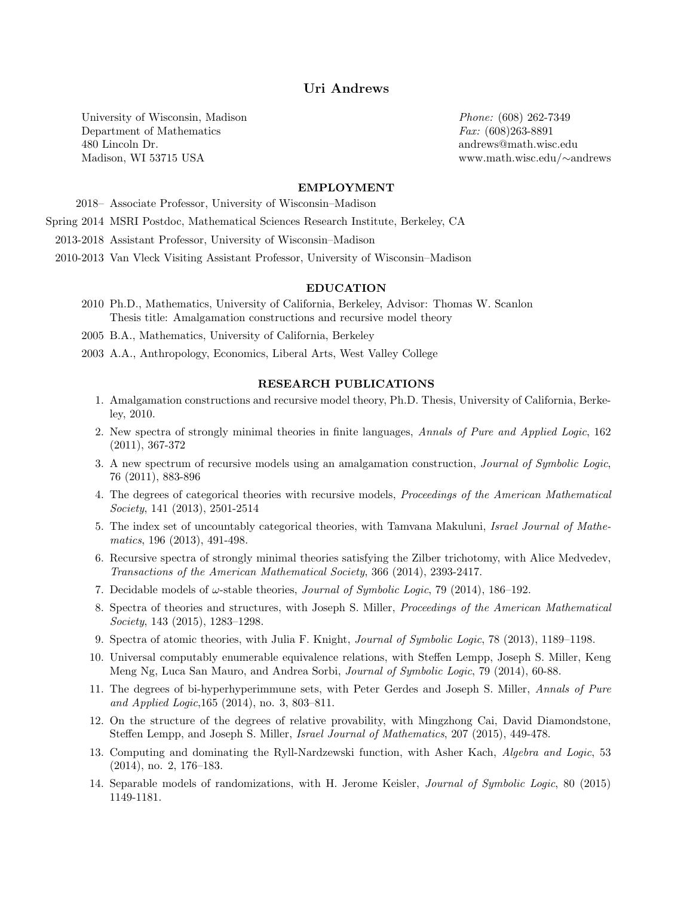# Uri Andrews

University of Wisconsin, Madison Department of Mathematics 480 Lincoln Dr. Madison, WI 53715 USA

Phone: (608) 262-7349 Fax: (608)263-8891 andrews@math.wisc.edu www.math.wisc.edu/∼andrews

### EMPLOYMENT

2018– Associate Professor, University of Wisconsin–Madison

Spring 2014 MSRI Postdoc, Mathematical Sciences Research Institute, Berkeley, CA

2013-2018 Assistant Professor, University of Wisconsin–Madison

2010-2013 Van Vleck Visiting Assistant Professor, University of Wisconsin–Madison

## EDUCATION

2010 Ph.D., Mathematics, University of California, Berkeley, Advisor: Thomas W. Scanlon Thesis title: Amalgamation constructions and recursive model theory

2005 B.A., Mathematics, University of California, Berkeley

2003 A.A., Anthropology, Economics, Liberal Arts, West Valley College

### RESEARCH PUBLICATIONS

- 1. Amalgamation constructions and recursive model theory, Ph.D. Thesis, University of California, Berkeley, 2010.
- 2. New spectra of strongly minimal theories in finite languages, Annals of Pure and Applied Logic, 162 (2011), 367-372
- 3. A new spectrum of recursive models using an amalgamation construction, Journal of Symbolic Logic, 76 (2011), 883-896
- 4. The degrees of categorical theories with recursive models, Proceedings of the American Mathematical Society, 141 (2013), 2501-2514
- 5. The index set of uncountably categorical theories, with Tamvana Makuluni, Israel Journal of Mathematics, 196 (2013), 491-498.
- 6. Recursive spectra of strongly minimal theories satisfying the Zilber trichotomy, with Alice Medvedev, Transactions of the American Mathematical Society, 366 (2014), 2393-2417.
- 7. Decidable models of  $\omega$ -stable theories, *Journal of Symbolic Logic*, 79 (2014), 186–192.
- 8. Spectra of theories and structures, with Joseph S. Miller, Proceedings of the American Mathematical Society, 143 (2015), 1283–1298.
- 9. Spectra of atomic theories, with Julia F. Knight, Journal of Symbolic Logic, 78 (2013), 1189–1198.
- 10. Universal computably enumerable equivalence relations, with Steffen Lempp, Joseph S. Miller, Keng Meng Ng, Luca San Mauro, and Andrea Sorbi, Journal of Symbolic Logic, 79 (2014), 60-88.
- 11. The degrees of bi-hyperhyperimmune sets, with Peter Gerdes and Joseph S. Miller, Annals of Pure and Applied Logic,165 (2014), no. 3, 803–811.
- 12. On the structure of the degrees of relative provability, with Mingzhong Cai, David Diamondstone, Steffen Lempp, and Joseph S. Miller, Israel Journal of Mathematics, 207 (2015), 449-478.
- 13. Computing and dominating the Ryll-Nardzewski function, with Asher Kach, *Algebra and Logic*, 53 (2014), no. 2, 176–183.
- 14. Separable models of randomizations, with H. Jerome Keisler, Journal of Symbolic Logic, 80 (2015) 1149-1181.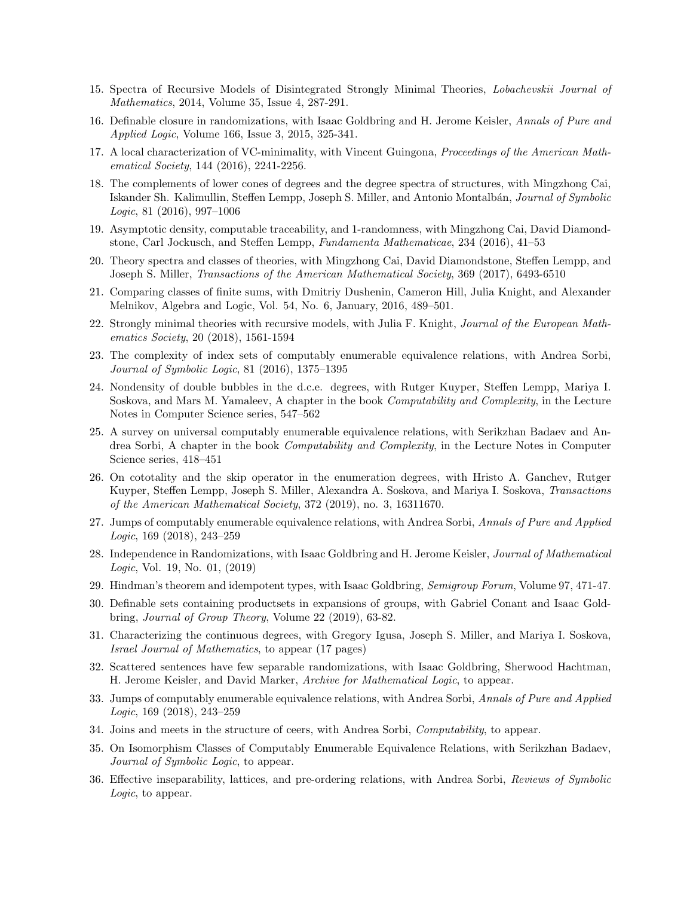- 15. Spectra of Recursive Models of Disintegrated Strongly Minimal Theories, Lobachevskii Journal of Mathematics, 2014, Volume 35, Issue 4, 287-291.
- 16. Definable closure in randomizations, with Isaac Goldbring and H. Jerome Keisler, Annals of Pure and Applied Logic, Volume 166, Issue 3, 2015, 325-341.
- 17. A local characterization of VC-minimality, with Vincent Guingona, *Proceedings of the American Math*ematical Society, 144 (2016), 2241-2256.
- 18. The complements of lower cones of degrees and the degree spectra of structures, with Mingzhong Cai, Iskander Sh. Kalimullin, Steffen Lempp, Joseph S. Miller, and Antonio Montalbán, Journal of Symbolic Logic, 81 (2016), 997–1006
- 19. Asymptotic density, computable traceability, and 1-randomness, with Mingzhong Cai, David Diamondstone, Carl Jockusch, and Steffen Lempp, Fundamenta Mathematicae, 234 (2016), 41–53
- 20. Theory spectra and classes of theories, with Mingzhong Cai, David Diamondstone, Steffen Lempp, and Joseph S. Miller, Transactions of the American Mathematical Society, 369 (2017), 6493-6510
- 21. Comparing classes of finite sums, with Dmitriy Dushenin, Cameron Hill, Julia Knight, and Alexander Melnikov, Algebra and Logic, Vol. 54, No. 6, January, 2016, 489–501.
- 22. Strongly minimal theories with recursive models, with Julia F. Knight, Journal of the European Mathematics Society, 20 (2018), 1561-1594
- 23. The complexity of index sets of computably enumerable equivalence relations, with Andrea Sorbi, Journal of Symbolic Logic, 81 (2016), 1375–1395
- 24. Nondensity of double bubbles in the d.c.e. degrees, with Rutger Kuyper, Steffen Lempp, Mariya I. Soskova, and Mars M. Yamaleev, A chapter in the book Computability and Complexity, in the Lecture Notes in Computer Science series, 547–562
- 25. A survey on universal computably enumerable equivalence relations, with Serikzhan Badaev and Andrea Sorbi, A chapter in the book Computability and Complexity, in the Lecture Notes in Computer Science series, 418–451
- 26. On cototality and the skip operator in the enumeration degrees, with Hristo A. Ganchev, Rutger Kuyper, Steffen Lempp, Joseph S. Miller, Alexandra A. Soskova, and Mariya I. Soskova, Transactions of the American Mathematical Society, 372 (2019), no. 3, 16311670.
- 27. Jumps of computably enumerable equivalence relations, with Andrea Sorbi, Annals of Pure and Applied Logic, 169 (2018), 243–259
- 28. Independence in Randomizations, with Isaac Goldbring and H. Jerome Keisler, Journal of Mathematical Logic, Vol. 19, No. 01, (2019)
- 29. Hindman's theorem and idempotent types, with Isaac Goldbring, Semigroup Forum, Volume 97, 471-47.
- 30. Definable sets containing productsets in expansions of groups, with Gabriel Conant and Isaac Goldbring, Journal of Group Theory, Volume 22 (2019), 63-82.
- 31. Characterizing the continuous degrees, with Gregory Igusa, Joseph S. Miller, and Mariya I. Soskova, Israel Journal of Mathematics, to appear (17 pages)
- 32. Scattered sentences have few separable randomizations, with Isaac Goldbring, Sherwood Hachtman, H. Jerome Keisler, and David Marker, Archive for Mathematical Logic, to appear.
- 33. Jumps of computably enumerable equivalence relations, with Andrea Sorbi, Annals of Pure and Applied Logic, 169 (2018), 243–259
- 34. Joins and meets in the structure of ceers, with Andrea Sorbi, Computability, to appear.
- 35. On Isomorphism Classes of Computably Enumerable Equivalence Relations, with Serikzhan Badaev, Journal of Symbolic Logic, to appear.
- 36. Effective inseparability, lattices, and pre-ordering relations, with Andrea Sorbi, Reviews of Symbolic Logic, to appear.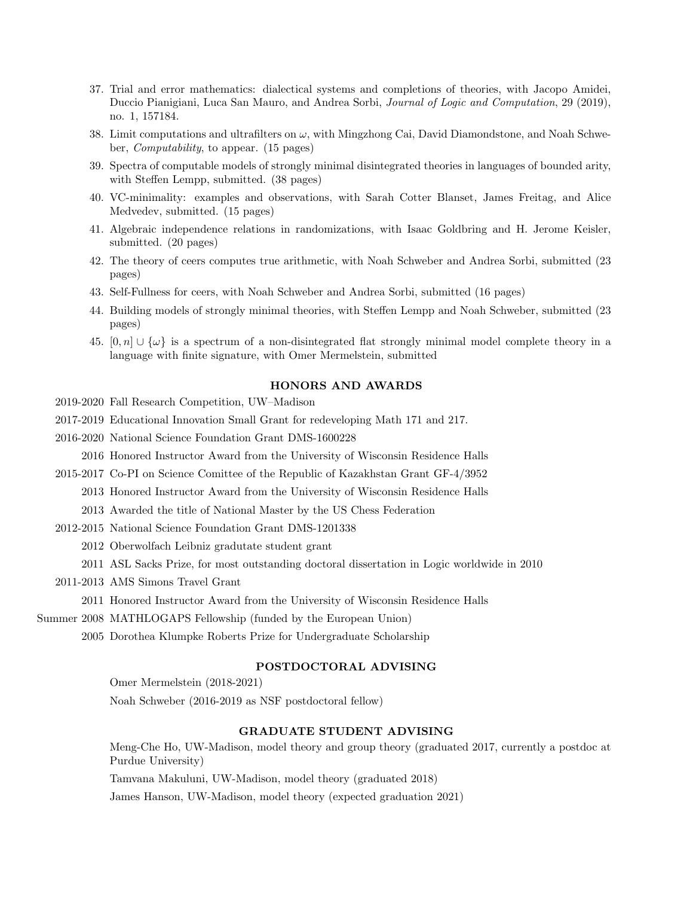- 37. Trial and error mathematics: dialectical systems and completions of theories, with Jacopo Amidei, Duccio Pianigiani, Luca San Mauro, and Andrea Sorbi, Journal of Logic and Computation, 29 (2019), no. 1, 157184.
- 38. Limit computations and ultrafilters on  $\omega$ , with Mingzhong Cai, David Diamondstone, and Noah Schweber, Computability, to appear. (15 pages)
- 39. Spectra of computable models of strongly minimal disintegrated theories in languages of bounded arity, with Steffen Lempp, submitted. (38 pages)
- 40. VC-minimality: examples and observations, with Sarah Cotter Blanset, James Freitag, and Alice Medvedev, submitted. (15 pages)
- 41. Algebraic independence relations in randomizations, with Isaac Goldbring and H. Jerome Keisler, submitted. (20 pages)
- 42. The theory of ceers computes true arithmetic, with Noah Schweber and Andrea Sorbi, submitted (23 pages)
- 43. Self-Fullness for ceers, with Noah Schweber and Andrea Sorbi, submitted (16 pages)
- 44. Building models of strongly minimal theories, with Steffen Lempp and Noah Schweber, submitted (23 pages)
- 45.  $[0, n] \cup \{\omega\}$  is a spectrum of a non-disintegrated flat strongly minimal model complete theory in a language with finite signature, with Omer Mermelstein, submitted

# HONORS AND AWARDS

- 2019-2020 Fall Research Competition, UW–Madison
- 2017-2019 Educational Innovation Small Grant for redeveloping Math 171 and 217.
- 2016-2020 National Science Foundation Grant DMS-1600228

2016 Honored Instructor Award from the University of Wisconsin Residence Halls

2015-2017 Co-PI on Science Comittee of the Republic of Kazakhstan Grant GF-4/3952

2013 Honored Instructor Award from the University of Wisconsin Residence Halls

- 2013 Awarded the title of National Master by the US Chess Federation
- 2012-2015 National Science Foundation Grant DMS-1201338

2012 Oberwolfach Leibniz gradutate student grant

2011 ASL Sacks Prize, for most outstanding doctoral dissertation in Logic worldwide in 2010

2011-2013 AMS Simons Travel Grant

2011 Honored Instructor Award from the University of Wisconsin Residence Halls

Summer 2008 MATHLOGAPS Fellowship (funded by the European Union)

2005 Dorothea Klumpke Roberts Prize for Undergraduate Scholarship

# POSTDOCTORAL ADVISING

Omer Mermelstein (2018-2021) Noah Schweber (2016-2019 as NSF postdoctoral fellow)

## GRADUATE STUDENT ADVISING

Meng-Che Ho, UW-Madison, model theory and group theory (graduated 2017, currently a postdoc at Purdue University)

Tamvana Makuluni, UW-Madison, model theory (graduated 2018)

James Hanson, UW-Madison, model theory (expected graduation 2021)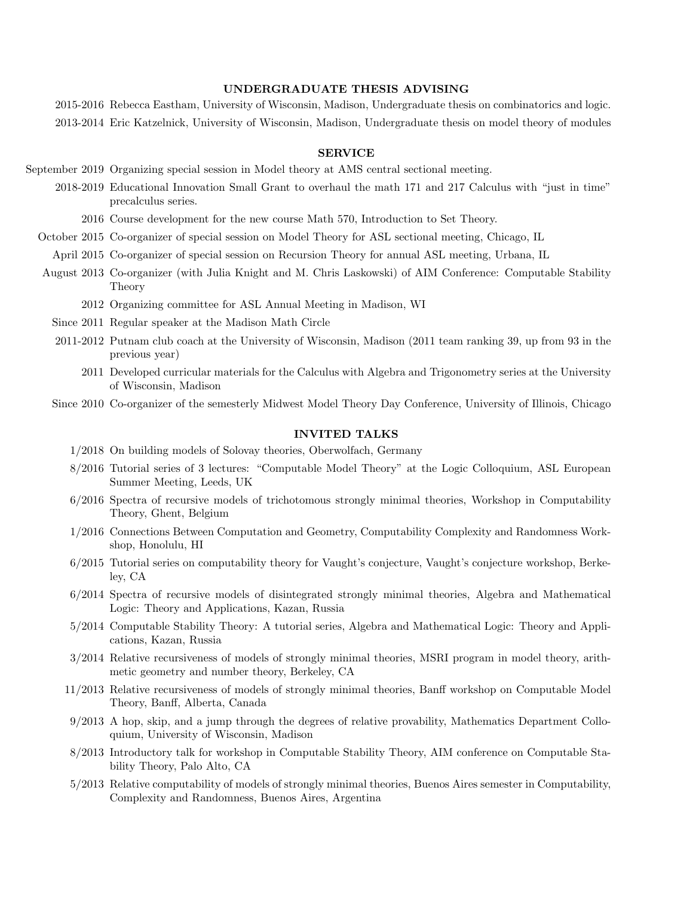#### UNDERGRADUATE THESIS ADVISING

2015-2016 Rebecca Eastham, University of Wisconsin, Madison, Undergraduate thesis on combinatorics and logic. 2013-2014 Eric Katzelnick, University of Wisconsin, Madison, Undergraduate thesis on model theory of modules

## SERVICE

September 2019 Organizing special session in Model theory at AMS central sectional meeting.

2018-2019 Educational Innovation Small Grant to overhaul the math 171 and 217 Calculus with "just in time" precalculus series.

2016 Course development for the new course Math 570, Introduction to Set Theory.

October 2015 Co-organizer of special session on Model Theory for ASL sectional meeting, Chicago, IL

April 2015 Co-organizer of special session on Recursion Theory for annual ASL meeting, Urbana, IL

- August 2013 Co-organizer (with Julia Knight and M. Chris Laskowski) of AIM Conference: Computable Stability Theory
	- 2012 Organizing committee for ASL Annual Meeting in Madison, WI
	- Since 2011 Regular speaker at the Madison Math Circle
	- 2011-2012 Putnam club coach at the University of Wisconsin, Madison (2011 team ranking 39, up from 93 in the previous year)
		- 2011 Developed curricular materials for the Calculus with Algebra and Trigonometry series at the University of Wisconsin, Madison
	- Since 2010 Co-organizer of the semesterly Midwest Model Theory Day Conference, University of Illinois, Chicago

### INVITED TALKS

- 1/2018 On building models of Solovay theories, Oberwolfach, Germany
- 8/2016 Tutorial series of 3 lectures: "Computable Model Theory" at the Logic Colloquium, ASL European Summer Meeting, Leeds, UK
- 6/2016 Spectra of recursive models of trichotomous strongly minimal theories, Workshop in Computability Theory, Ghent, Belgium
- 1/2016 Connections Between Computation and Geometry, Computability Complexity and Randomness Workshop, Honolulu, HI
- 6/2015 Tutorial series on computability theory for Vaught's conjecture, Vaught's conjecture workshop, Berkeley, CA
- 6/2014 Spectra of recursive models of disintegrated strongly minimal theories, Algebra and Mathematical Logic: Theory and Applications, Kazan, Russia
- 5/2014 Computable Stability Theory: A tutorial series, Algebra and Mathematical Logic: Theory and Applications, Kazan, Russia
- 3/2014 Relative recursiveness of models of strongly minimal theories, MSRI program in model theory, arithmetic geometry and number theory, Berkeley, CA
- 11/2013 Relative recursiveness of models of strongly minimal theories, Banff workshop on Computable Model Theory, Banff, Alberta, Canada
- 9/2013 A hop, skip, and a jump through the degrees of relative provability, Mathematics Department Colloquium, University of Wisconsin, Madison
- 8/2013 Introductory talk for workshop in Computable Stability Theory, AIM conference on Computable Stability Theory, Palo Alto, CA
- 5/2013 Relative computability of models of strongly minimal theories, Buenos Aires semester in Computability, Complexity and Randomness, Buenos Aires, Argentina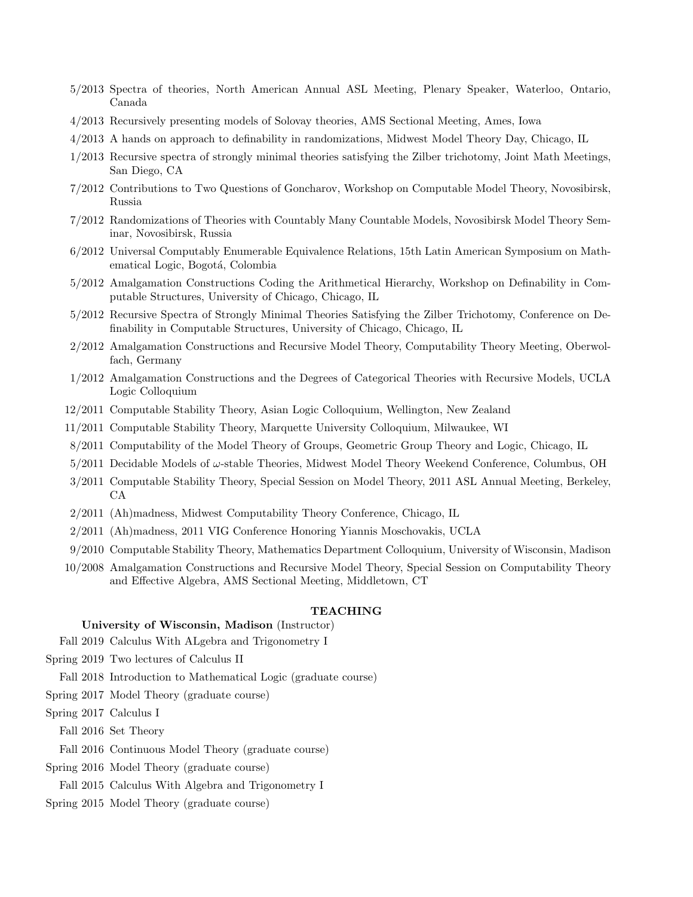- 5/2013 Spectra of theories, North American Annual ASL Meeting, Plenary Speaker, Waterloo, Ontario, Canada
- 4/2013 Recursively presenting models of Solovay theories, AMS Sectional Meeting, Ames, Iowa
- 4/2013 A hands on approach to definability in randomizations, Midwest Model Theory Day, Chicago, IL
- 1/2013 Recursive spectra of strongly minimal theories satisfying the Zilber trichotomy, Joint Math Meetings, San Diego, CA
- 7/2012 Contributions to Two Questions of Goncharov, Workshop on Computable Model Theory, Novosibirsk, Russia
- 7/2012 Randomizations of Theories with Countably Many Countable Models, Novosibirsk Model Theory Seminar, Novosibirsk, Russia
- 6/2012 Universal Computably Enumerable Equivalence Relations, 15th Latin American Symposium on Mathematical Logic, Bogotá, Colombia
- 5/2012 Amalgamation Constructions Coding the Arithmetical Hierarchy, Workshop on Definability in Computable Structures, University of Chicago, Chicago, IL
- 5/2012 Recursive Spectra of Strongly Minimal Theories Satisfying the Zilber Trichotomy, Conference on Definability in Computable Structures, University of Chicago, Chicago, IL
- 2/2012 Amalgamation Constructions and Recursive Model Theory, Computability Theory Meeting, Oberwolfach, Germany
- 1/2012 Amalgamation Constructions and the Degrees of Categorical Theories with Recursive Models, UCLA Logic Colloquium
- 12/2011 Computable Stability Theory, Asian Logic Colloquium, Wellington, New Zealand
- 11/2011 Computable Stability Theory, Marquette University Colloquium, Milwaukee, WI
- 8/2011 Computability of the Model Theory of Groups, Geometric Group Theory and Logic, Chicago, IL
- $5/2011$  Decidable Models of  $\omega$ -stable Theories, Midwest Model Theory Weekend Conference, Columbus, OH
- 3/2011 Computable Stability Theory, Special Session on Model Theory, 2011 ASL Annual Meeting, Berkeley, CA
- 2/2011 (Ah)madness, Midwest Computability Theory Conference, Chicago, IL
- 2/2011 (Ah)madness, 2011 VIG Conference Honoring Yiannis Moschovakis, UCLA
- 9/2010 Computable Stability Theory, Mathematics Department Colloquium, University of Wisconsin, Madison
- 10/2008 Amalgamation Constructions and Recursive Model Theory, Special Session on Computability Theory and Effective Algebra, AMS Sectional Meeting, Middletown, CT

# TEACHING

# University of Wisconsin, Madison (Instructor)

Fall 2019 Calculus With ALgebra and Trigonometry I

Spring 2019 Two lectures of Calculus II

Fall 2018 Introduction to Mathematical Logic (graduate course)

Spring 2017 Model Theory (graduate course)

Spring 2017 Calculus I

Fall 2016 Set Theory

Fall 2016 Continuous Model Theory (graduate course)

- Spring 2016 Model Theory (graduate course)
	- Fall 2015 Calculus With Algebra and Trigonometry I
- Spring 2015 Model Theory (graduate course)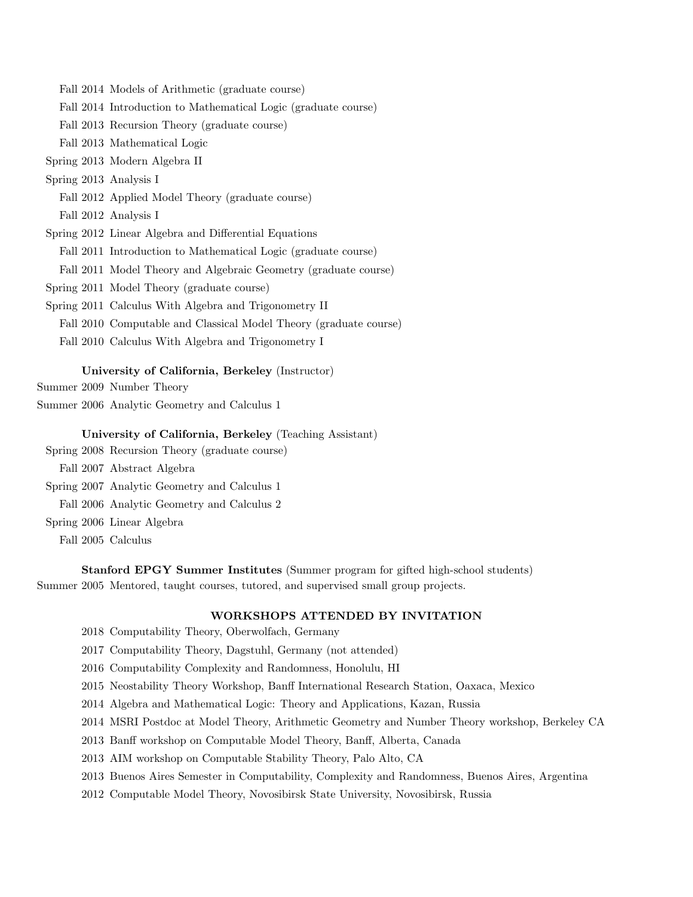Fall 2014 Models of Arithmetic (graduate course) Fall 2014 Introduction to Mathematical Logic (graduate course) Fall 2013 Recursion Theory (graduate course) Fall 2013 Mathematical Logic Spring 2013 Modern Algebra II Spring 2013 Analysis I Fall 2012 Applied Model Theory (graduate course) Fall 2012 Analysis I Spring 2012 Linear Algebra and Differential Equations Fall 2011 Introduction to Mathematical Logic (graduate course) Fall 2011 Model Theory and Algebraic Geometry (graduate course) Spring 2011 Model Theory (graduate course) Spring 2011 Calculus With Algebra and Trigonometry II Fall 2010 Computable and Classical Model Theory (graduate course) Fall 2010 Calculus With Algebra and Trigonometry I University of California, Berkeley (Instructor) Summer 2009 Number Theory Summer 2006 Analytic Geometry and Calculus 1 University of California, Berkeley (Teaching Assistant) Spring 2008 Recursion Theory (graduate course)

Fall 2007 Abstract Algebra Spring 2007 Analytic Geometry and Calculus 1 Fall 2006 Analytic Geometry and Calculus 2 Spring 2006 Linear Algebra Fall 2005 Calculus

Stanford EPGY Summer Institutes (Summer program for gifted high-school students) Summer 2005 Mentored, taught courses, tutored, and supervised small group projects.

# WORKSHOPS ATTENDED BY INVITATION

2018 Computability Theory, Oberwolfach, Germany

2017 Computability Theory, Dagstuhl, Germany (not attended)

2016 Computability Complexity and Randomness, Honolulu, HI

2015 Neostability Theory Workshop, Banff International Research Station, Oaxaca, Mexico

2014 Algebra and Mathematical Logic: Theory and Applications, Kazan, Russia

2014 MSRI Postdoc at Model Theory, Arithmetic Geometry and Number Theory workshop, Berkeley CA

2013 Banff workshop on Computable Model Theory, Banff, Alberta, Canada

2013 AIM workshop on Computable Stability Theory, Palo Alto, CA

2013 Buenos Aires Semester in Computability, Complexity and Randomness, Buenos Aires, Argentina

2012 Computable Model Theory, Novosibirsk State University, Novosibirsk, Russia